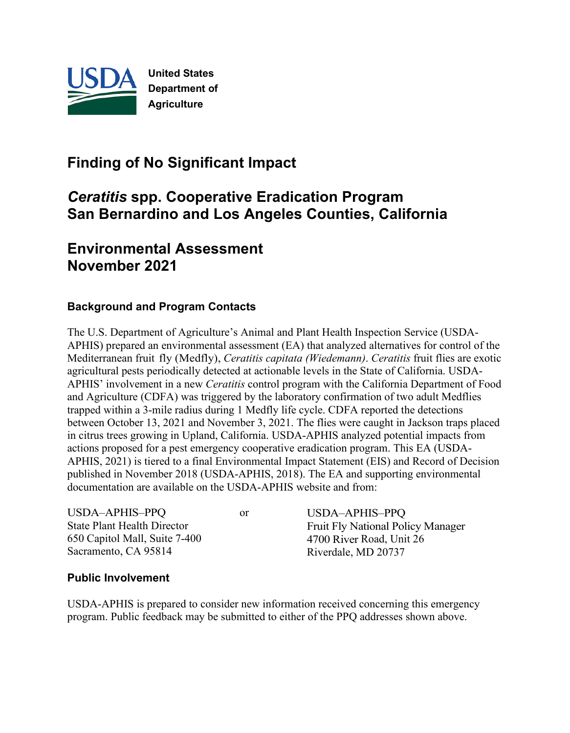

# **Finding of No Significant Impact**

# *Ceratitis* **spp. Cooperative Eradication Program San Bernardino and Los Angeles Counties, California**

## **Environmental Assessment November 2021**

#### **Background and Program Contacts**

The U.S. Department of Agriculture's Animal and Plant Health Inspection Service (USDA-APHIS) prepared an environmental assessment (EA) that analyzed alternatives for control of the Mediterranean fruit fly (Medfly), *Ceratitis capitata (Wiedemann)*. *Ceratitis* fruit flies are exotic agricultural pests periodically detected at actionable levels in the State of California. USDA-APHIS' involvement in a new *Ceratitis* control program with the California Department of Food and Agriculture (CDFA) was triggered by the laboratory confirmation of two adult Medflies trapped within a 3-mile radius during 1 Medfly life cycle. CDFA reported the detections between October 13, 2021 and November 3, 2021. The flies were caught in Jackson traps placed in citrus trees growing in Upland, California. USDA-APHIS analyzed potential impacts from actions proposed for a pest emergency cooperative eradication program. This EA (USDA-APHIS, 2021) is tiered to a final Environmental Impact Statement (EIS) and Record of Decision published in November 2018 (USDA-APHIS, 2018). The EA and supporting environmental documentation are available on the USDA-APHIS website and from:

| USDA-APHIS-PPQ                     | or | USDA-APHIS-PPQ                           |
|------------------------------------|----|------------------------------------------|
| <b>State Plant Health Director</b> |    | <b>Fruit Fly National Policy Manager</b> |
| 650 Capitol Mall, Suite 7-400      |    | 4700 River Road, Unit 26                 |
| Sacramento, CA 95814               |    | Riverdale, MD 20737                      |

#### **Public Involvement**

USDA-APHIS is prepared to consider new information received concerning this emergency program. Public feedback may be submitted to either of the PPQ addresses shown above.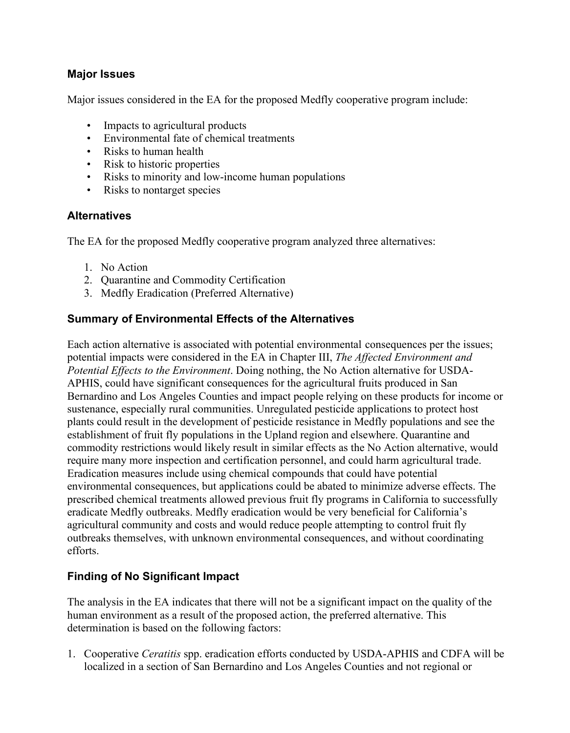#### **Major Issues**

Major issues considered in the EA for the proposed Medfly cooperative program include:

- Impacts to agricultural products
- Environmental fate of chemical treatments
- Risks to human health
- Risk to historic properties
- Risks to minority and low-income human populations
- Risks to nontarget species

#### **Alternatives**

The EA for the proposed Medfly cooperative program analyzed three alternatives:

- 1. No Action
- 2. Quarantine and Commodity Certification
- 3. Medfly Eradication (Preferred Alternative)

### **Summary of Environmental Effects of the Alternatives**

Each action alternative is associated with potential environmental consequences per the issues; potential impacts were considered in the EA in Chapter III, *The Affected Environment and Potential Effects to the Environment*. Doing nothing, the No Action alternative for USDA-APHIS, could have significant consequences for the agricultural fruits produced in San Bernardino and Los Angeles Counties and impact people relying on these products for income or sustenance, especially rural communities. Unregulated pesticide applications to protect host plants could result in the development of pesticide resistance in Medfly populations and see the establishment of fruit fly populations in the Upland region and elsewhere. Quarantine and commodity restrictions would likely result in similar effects as the No Action alternative, would require many more inspection and certification personnel, and could harm agricultural trade. Eradication measures include using chemical compounds that could have potential environmental consequences, but applications could be abated to minimize adverse effects. The prescribed chemical treatments allowed previous fruit fly programs in California to successfully eradicate Medfly outbreaks. Medfly eradication would be very beneficial for California's agricultural community and costs and would reduce people attempting to control fruit fly outbreaks themselves, with unknown environmental consequences, and without coordinating efforts.

### **Finding of No Significant Impact**

The analysis in the EA indicates that there will not be a significant impact on the quality of the human environment as a result of the proposed action, the preferred alternative. This determination is based on the following factors:

1. Cooperative *Ceratitis* spp. eradication efforts conducted by USDA-APHIS and CDFA will be localized in a section of San Bernardino and Los Angeles Counties and not regional or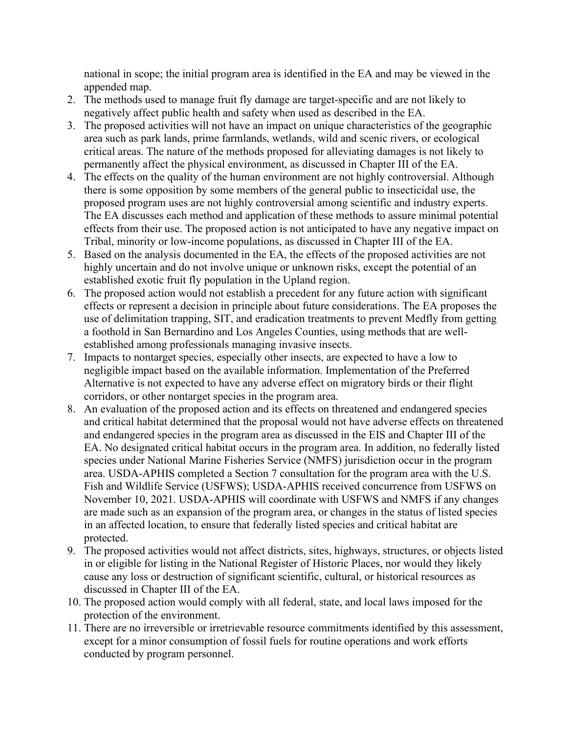national in scope; the initial program area is identified in the EA and may be viewed in the appended map.

- 2. The methods used to manage fruit fly damage are target-specific and are not likely to negatively affect public health and safety when used as described in the EA.
- 3. The proposed activities will not have an impact on unique characteristics of the geographic area such as park lands, prime farmlands, wetlands, wild and scenic rivers, or ecological critical areas. The nature of the methods proposed for alleviating damages is not likely to permanently affect the physical environment, as discussed in Chapter III of the EA.
- 4. The effects on the quality of the human environment are not highly controversial. Although there is some opposition by some members of the general public to insecticidal use, the proposed program uses are not highly controversial among scientific and industry experts. The EA discusses each method and application of these methods to assure minimal potential effects from their use. The proposed action is not anticipated to have any negative impact on Tribal, minority or low-income populations, as discussed in Chapter III of the EA.
- 5. Based on the analysis documented in the EA, the effects of the proposed activities are not highly uncertain and do not involve unique or unknown risks, except the potential of an established exotic fruit fly population in the Upland region.
- 6. The proposed action would not establish a precedent for any future action with significant effects or represent a decision in principle about future considerations. The EA proposes the use of delimitation trapping, SIT, and eradication treatments to prevent Medfly from getting a foothold in San Bernardino and Los Angeles Counties, using methods that are wellestablished among professionals managing invasive insects.
- 7. Impacts to nontarget species, especially other insects, are expected to have a low to negligible impact based on the available information. Implementation of the Preferred Alternative is not expected to have any adverse effect on migratory birds or their flight corridors, or other nontarget species in the program area.
- 8. An evaluation of the proposed action and its effects on threatened and endangered species and critical habitat determined that the proposal would not have adverse effects on threatened and endangered species in the program area as discussed in the EIS and Chapter III of the EA. No designated critical habitat occurs in the program area. In addition, no federally listed species under National Marine Fisheries Service (NMFS) jurisdiction occur in the program area. USDA-APHIS completed a Section 7 consultation for the program area with the U.S. Fish and Wildlife Service (USFWS); USDA-APHIS received concurrence from USFWS on November 10, 2021. USDA-APHIS will coordinate with USFWS and NMFS if any changes are made such as an expansion of the program area, or changes in the status of listed species in an affected location, to ensure that federally listed species and critical habitat are protected.
- 9. The proposed activities would not affect districts, sites, highways, structures, or objects listed in or eligible for listing in the National Register of Historic Places, nor would they likely cause any loss or destruction of significant scientific, cultural, or historical resources as discussed in Chapter III of the EA.
- 10. The proposed action would comply with all federal, state, and local laws imposed for the protection of the environment.
- 11. There are no irreversible or irretrievable resource commitments identified by this assessment, except for a minor consumption of fossil fuels for routine operations and work efforts conducted by program personnel.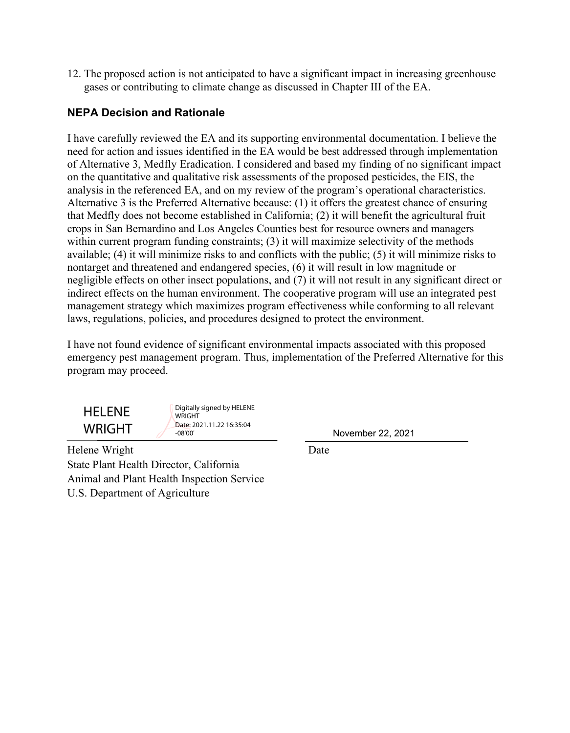12. The proposed action is not anticipated to have a significant impact in increasing greenhouse gases or contributing to climate change as discussed in Chapter III of the EA.

#### **NEPA Decision and Rationale**

I have carefully reviewed the EA and its supporting environmental documentation. I believe the need for action and issues identified in the EA would be best addressed through implementation of Alternative 3, Medfly Eradication. I considered and based my finding of no significant impact on the quantitative and qualitative risk assessments of the proposed pesticides, the EIS, the analysis in the referenced EA, and on my review of the program's operational characteristics. Alternative 3 is the Preferred Alternative because: (1) it offers the greatest chance of ensuring that Medfly does not become established in California; (2) it will benefit the agricultural fruit crops in San Bernardino and Los Angeles Counties best for resource owners and managers within current program funding constraints; (3) it will maximize selectivity of the methods available; (4) it will minimize risks to and conflicts with the public; (5) it will minimize risks to nontarget and threatened and endangered species, (6) it will result in low magnitude or negligible effects on other insect populations, and (7) it will not result in any significant direct or indirect effects on the human environment. The cooperative program will use an integrated pest management strategy which maximizes program effectiveness while conforming to all relevant laws, regulations, policies, and procedures designed to protect the environment.

I have not found evidence of significant environmental impacts associated with this proposed emergency pest management program. Thus, implementation of the Preferred Alternative for this program may proceed.



Digitally signed by HELENE **WRIGHT** Date: 2021.11.22 16:35:04 -08'00'

November 22, 2021

Helene Wright Date State Plant Health Director, California Animal and Plant Health Inspection Service U.S. Department of Agriculture